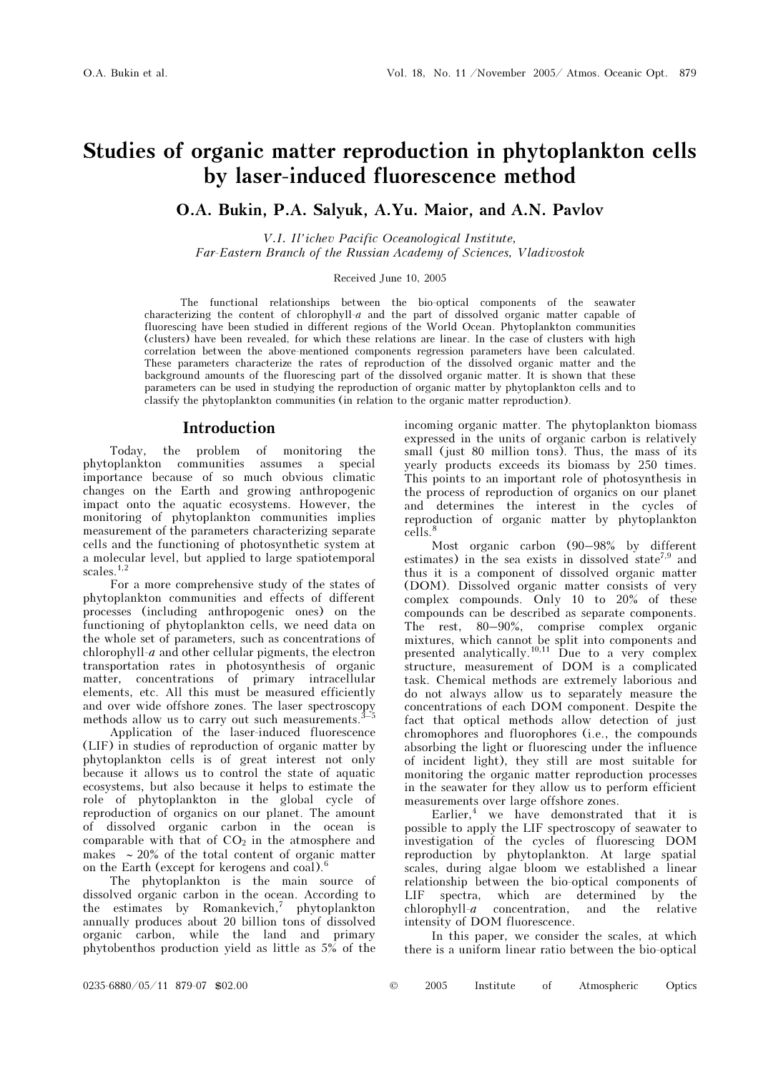# Studies of organic matter reproduction in phytoplankton cells by laser-induced fluorescence method

# O.A. Bukin, P.A. Salyuk, A.Yu. Maior, and A.N. Pavlov

V.I. Il'ichev Pacific Oceanological Institute, Far-Eastern Branch of the Russian Academy of Sciences, Vladivostok

#### Received June 10, 2005

The functional relationships between the bio-optical components of the seawater characterizing the content of chlorophyll-a and the part of dissolved organic matter capable of fluorescing have been studied in different regions of the World Ocean. Phytoplankton communities (clusters) have been revealed, for which these relations are linear. In the case of clusters with high correlation between the above-mentioned components regression parameters have been calculated. These parameters characterize the rates of reproduction of the dissolved organic matter and the background amounts of the fluorescing part of the dissolved organic matter. It is shown that these parameters can be used in studying the reproduction of organic matter by phytoplankton cells and to classify the phytoplankton communities (in relation to the organic matter reproduction).

# Introduction

Today, the problem of monitoring the phytoplankton communities assumes a special importance because of so much obvious climatic changes on the Earth and growing anthropogenic impact onto the aquatic ecosystems. However, the monitoring of phytoplankton communities implies measurement of the parameters characterizing separate cells and the functioning of photosynthetic system at a molecular level, but applied to large spatiotemporal scales.<sup>1,2</sup>

For a more comprehensive study of the states of phytoplankton communities and effects of different processes (including anthropogenic ones) on the functioning of phytoplankton cells, we need data on the whole set of parameters, such as concentrations of chlorophyll-a and other cellular pigments, the electron transportation rates in photosynthesis of organic matter, concentrations of primary intracellular elements, etc. All this must be measured efficiently and over wide offshore zones. The laser spectroscopy methods allow us to carry out such measurements.

 Application of the laser-induced fluorescence (LIF) in studies of reproduction of organic matter by phytoplankton cells is of great interest not only because it allows us to control the state of aquatic ecosystems, but also because it helps to estimate the role of phytoplankton in the global cycle of reproduction of organics on our planet. The amount of dissolved organic carbon in the ocean is comparable with that of  $CO<sub>2</sub>$  in the atmosphere and makes ∼ 20% of the total content of organic matter on the Earth (except for kerogens and coal).<sup>6</sup>

The phytoplankton is the main source of dissolved organic carbon in the ocean. According to the estimates by Romankevich,<sup>7</sup> phytoplankton annually produces about 20 billion tons of dissolved organic carbon, while the land and primary phytobenthos production yield as little as 5% of the

incoming organic matter. The phytoplankton biomass expressed in the units of organic carbon is relatively small (just 80 million tons). Thus, the mass of its yearly products exceeds its biomass by 250 times. This points to an important role of photosynthesis in the process of reproduction of organics on our planet and determines the interest in the cycles of reproduction of organic matter by phytoplankton cells.<sup>8</sup>

Most organic carbon (90–98% by different estimates) in the sea exists in dissolved state<sup>7,9</sup> and thus it is a component of dissolved organic matter (DOM). Dissolved organic matter consists of very complex compounds. Only 10 to 20% of these compounds can be described as separate components. The rest, 80–90%, comprise complex organic mixtures, which cannot be split into components and presented analytically.<sup>10,11</sup> Due to a very complex structure, measurement of DOM is a complicated task. Chemical methods are extremely laborious and do not always allow us to separately measure the concentrations of each DOM component. Despite the fact that optical methods allow detection of just chromophores and fluorophores (i.e., the compounds absorbing the light or fluorescing under the influence of incident light), they still are most suitable for monitoring the organic matter reproduction processes in the seawater for they allow us to perform efficient measurements over large offshore zones.

Earlier,<sup>4</sup> we have demonstrated that it is possible to apply the LIF spectroscopy of seawater to investigation of the cycles of fluorescing DOM reproduction by phytoplankton. At large spatial scales, during algae bloom we established a linear relationship between the bio-optical components of LIF spectra, which are determined by the chlorophyll-a concentration, and the relative intensity of DOM fluorescence.

In this paper, we consider the scales, at which there is a uniform linear ratio between the bio-optical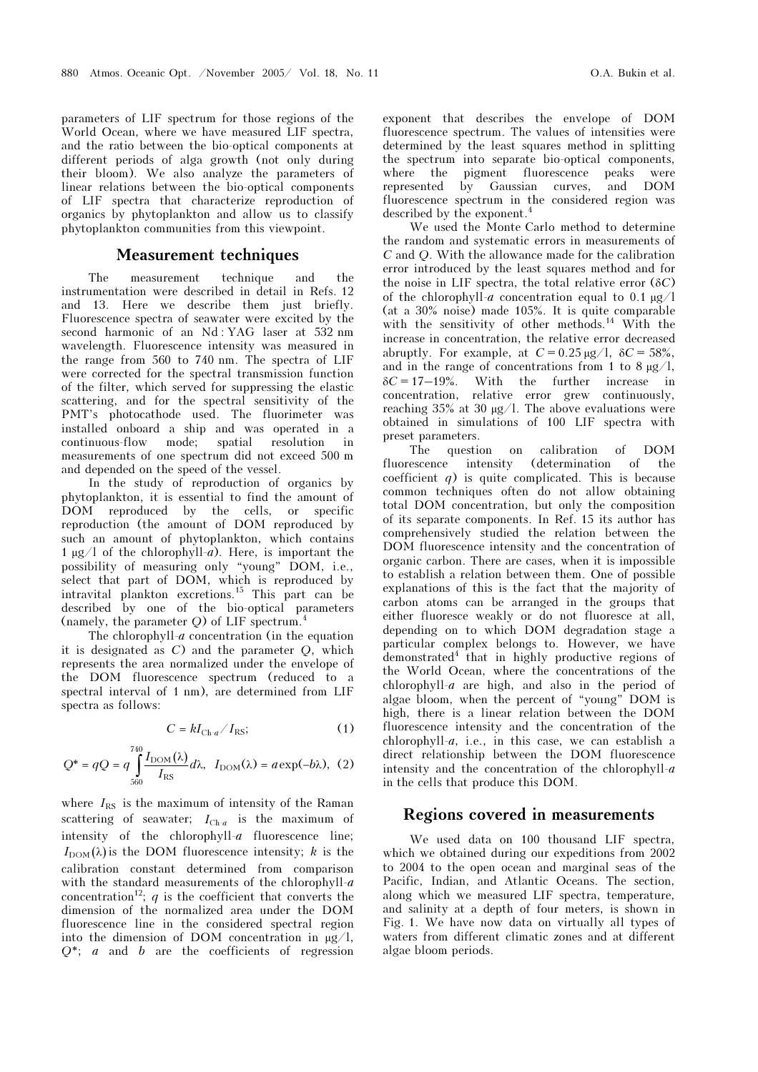parameters of LIF spectrum for those regions of the World Ocean, where we have measured LIF spectra, and the ratio between the bio-optical components at different periods of alga growth (not only during their bloom). We also analyze the parameters of linear relations between the bio-optical components of LIF spectra that characterize reproduction of organics by phytoplankton and allow us to classify phytoplankton communities from this viewpoint.

## Measurement techniques

The measurement technique and the instrumentation were described in detail in Refs. 12 and 13. Here we describe them just briefly. Fluorescence spectra of seawater were excited by the second harmonic of an Nd : YAG laser at 532 nm wavelength. Fluorescence intensity was measured in the range from 560 to 740 nm. The spectra of LIF were corrected for the spectral transmission function of the filter, which served for suppressing the elastic scattering, and for the spectral sensitivity of the PMT's photocathode used. The fluorimeter was installed onboard a ship and was operated in a continuous-flow mode; spatial resolution in measurements of one spectrum did not exceed 500 m and depended on the speed of the vessel.

In the study of reproduction of organics by phytoplankton, it is essential to find the amount of DOM reproduced by the cells, or specific reproduction (the amount of DOM reproduced by such an amount of phytoplankton, which contains 1  $\mu$ g/l of the chlorophyll-*a*). Here, is important the possibility of measuring only "young" DOM, i.e., select that part of DOM, which is reproduced by intravital plankton excretions.<sup>15</sup> This part can be described by one of the bio-optical parameters (namely, the parameter  $Q$ ) of LIF spectrum.<sup>4</sup>

The chlorophyll- $a$  concentration (in the equation it is designated as C) and the parameter Q, which represents the area normalized under the envelope of the DOM fluorescence spectrum (reduced to a spectral interval of 1 nm), are determined from LIF spectra as follows:

$$
C = kI_{\text{Ch-}a}/I_{\text{RS}};
$$
 (1)

$$
Q^* = qQ = q \int_{560}^{740} \frac{I_{\text{DOM}}(\lambda)}{I_{\text{RS}}} d\lambda, I_{\text{DOM}}(\lambda) = a \exp(-b\lambda), (2)
$$

where  $I_{RS}$  is the maximum of intensity of the Raman scattering of seawater;  $I_{\text{Ch-}a}$  is the maximum of intensity of the chlorophyll-a fluorescence line;  $I_{\text{DOM}}(\lambda)$  is the DOM fluorescence intensity; k is the calibration constant determined from comparison with the standard measurements of the chlorophyll- $a$ concentration<sup>12</sup>; q is the coefficient that converts the dimension of the normalized area under the DOM fluorescence line in the considered spectral region into the dimension of DOM concentration in  $\mu$ g/l,  $Q^*$ ; *a* and *b* are the coefficients of regression exponent that describes the envelope of DOM fluorescence spectrum. The values of intensities were determined by the least squares method in splitting the spectrum into separate bio-optical components, where the pigment fluorescence peaks were represented by Gaussian curves, and DOM fluorescence spectrum in the considered region was described by the exponent.<sup>4</sup>

We used the Monte Carlo method to determine the random and systematic errors in measurements of C and Q. With the allowance made for the calibration error introduced by the least squares method and for the noise in LIF spectra, the total relative error  $(\delta C)$ of the chlorophyll-a concentration equal to 0.1  $\mu$ g/l (at a 30% noise) made 105%. It is quite comparable with the sensitivity of other methods.<sup>14</sup> With the increase in concentration, the relative error decreased abruptly. For example, at  $C = 0.25 \,\mu g/l$ ,  $\delta C = 58\%,$ and in the range of concentrations from 1 to 8  $\mu$ g/l,  $\delta C = 17-19\%$ . With the further increase in With the further increase in concentration, relative error grew continuously, reaching 35% at 30 µg/l. The above evaluations were obtained in simulations of 100 LIF spectra with preset parameters.

The question on calibration of DOM fluorescence intensity (determination of the coefficient  $q$ ) is quite complicated. This is because common techniques often do not allow obtaining total DOM concentration, but only the composition of its separate components. In Ref. 15 its author has comprehensively studied the relation between the DOM fluorescence intensity and the concentration of organic carbon. There are cases, when it is impossible to establish a relation between them. One of possible explanations of this is the fact that the majority of carbon atoms can be arranged in the groups that either fluoresce weakly or do not fluoresce at all, depending on to which DOM degradation stage a particular complex belongs to. However, we have demonstrated<sup>4</sup> that in highly productive regions of the World Ocean, where the concentrations of the chlorophyll- $a$  are high, and also in the period of algae bloom, when the percent of "young" DOM is high, there is a linear relation between the DOM fluorescence intensity and the concentration of the chlorophyll-a, i.e., in this case, we can establish a direct relationship between the DOM fluorescence intensity and the concentration of the chlorophyll- $a$ in the cells that produce this DOM.

# Regions covered in measurements

We used data on 100 thousand LIF spectra, which we obtained during our expeditions from 2002 to 2004 to the open ocean and marginal seas of the Pacific, Indian, and Atlantic Oceans. The section, along which we measured LIF spectra, temperature, and salinity at a depth of four meters, is shown in Fig. 1. We have now data on virtually all types of waters from different climatic zones and at different algae bloom periods.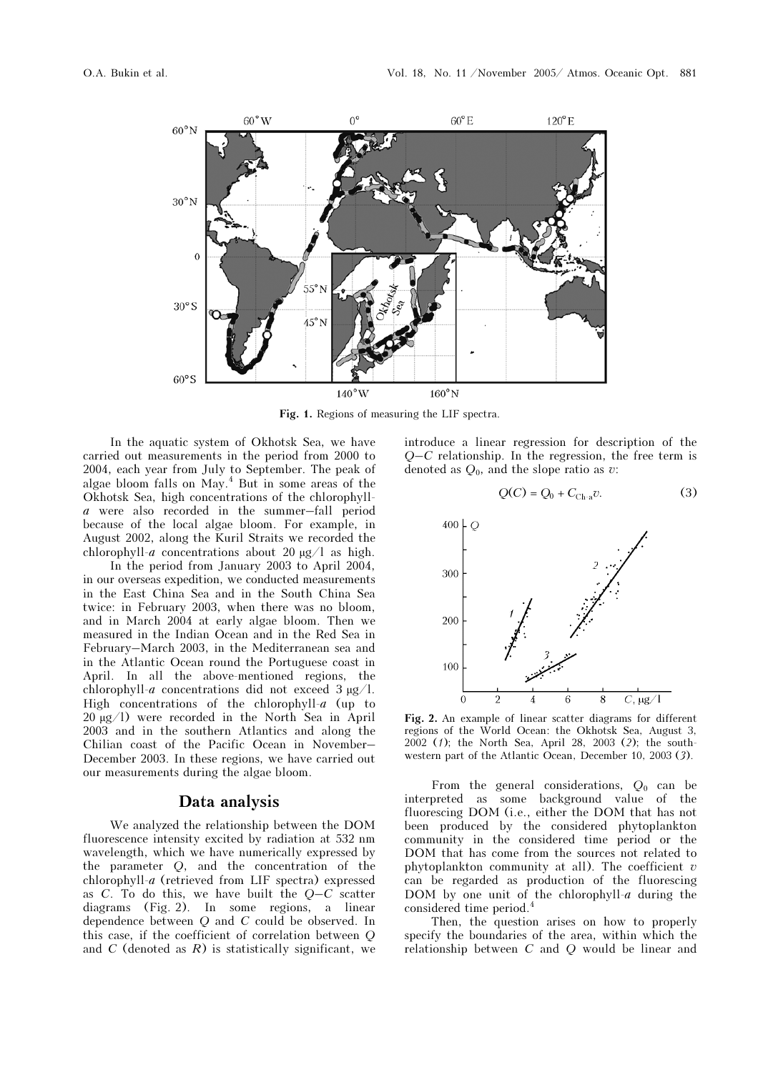

Fig. 1. Regions of measuring the LIF spectra.

In the aquatic system of Okhotsk Sea, we have carried out measurements in the period from 2000 to 2004, each year from July to September. The peak of algae bloom falls on May.<sup>4</sup> But in some areas of the Okhotsk Sea, high concentrations of the chlorophylla were also recorded in the summer–fall period because of the local algae bloom. For example, in August 2002, along the Kuril Straits we recorded the chlorophyll-a concentrations about 20  $\mu$ g/l as high.

 In the period from January 2003 to April 2004, in our overseas expedition, we conducted measurements in the East China Sea and in the South China Sea twice: in February 2003, when there was no bloom, and in March 2004 at early algae bloom. Then we measured in the Indian Ocean and in the Red Sea in February–March 2003, in the Mediterranean sea and in the Atlantic Ocean round the Portuguese coast in April. In all the above-mentioned regions, the chlorophyll-a concentrations did not exceed  $3 \mu g/l$ . High concentrations of the chlorophyll- $a$  (up to 20 µg/l) were recorded in the North Sea in April 2003 and in the southern Atlantics and along the Chilian coast of the Pacific Ocean in November– December 2003. In these regions, we have carried out our measurements during the algae bloom.

## Data analysis

We analyzed the relationship between the DOM fluorescence intensity excited by radiation at 532 nm wavelength, which we have numerically expressed by the parameter Q, and the concentration of the chlorophyll-a (retrieved from LIF spectra) expressed as  $C$ . To do this, we have built the  $Q-C$  scatter diagrams (Fig. 2). In some regions, a linear dependence between  $Q$  and  $C$  could be observed. In this case, if the coefficient of correlation between Q and  $C$  (denoted as  $R$ ) is statistically significant, we introduce a linear regression for description of the  $Q-C$  relationship. In the regression, the free term is denoted as  $Q_0$ , and the slope ratio as v:

$$
Q(C) = Q_0 + C_{\text{Ch-a}}v.
$$
 (3)



Fig. 2. An example of linear scatter diagrams for different regions of the World Ocean: the Okhotsk Sea, August 3, 2002 (1); the North Sea, April 28, 2003 (2); the southwestern part of the Atlantic Ocean, December 10, 2003 (3).

From the general considerations,  $Q_0$  can be interpreted as some background value of the fluorescing DOM (i.e., either the DOM that has not been produced by the considered phytoplankton community in the considered time period or the DOM that has come from the sources not related to phytoplankton community at all). The coefficient  $\bar{v}$ can be regarded as production of the fluorescing DOM by one unit of the chlorophyll- $a$  during the considered time period.<sup>4</sup>

Then, the question arises on how to properly specify the boundaries of the area, within which the relationship between C and Q would be linear and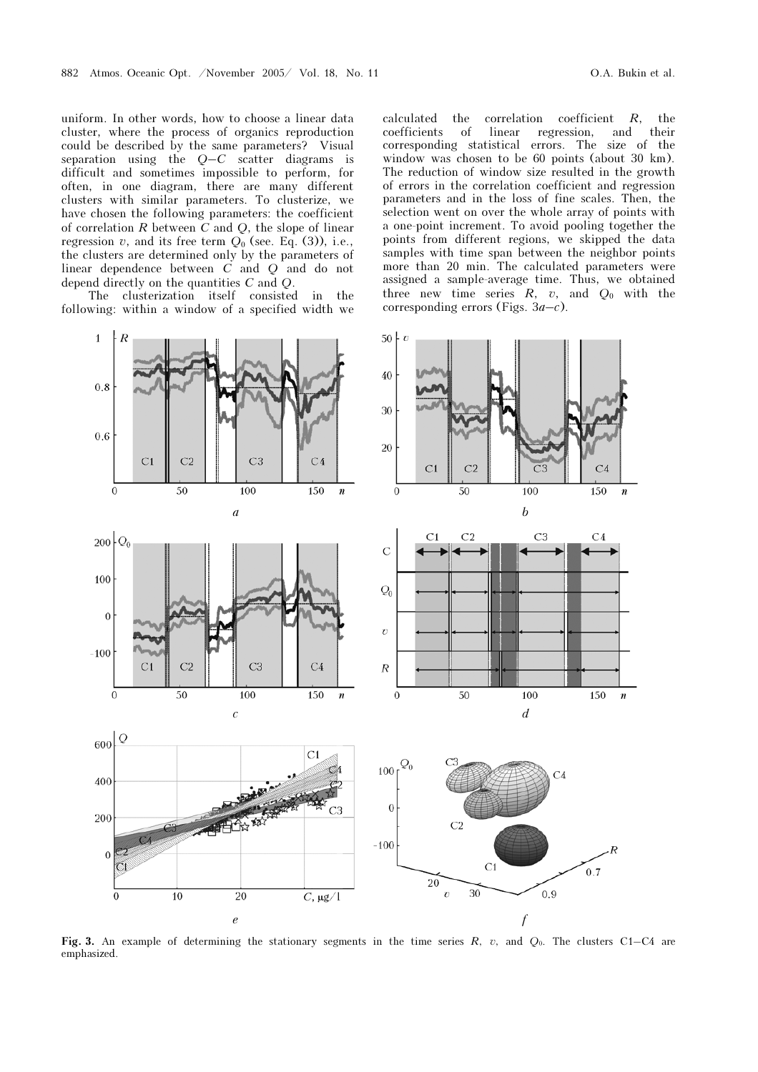uniform. In other words, how to choose a linear data cluster, where the process of organics reproduction could be described by the same parameters? Visual separation using the  $Q-C$  scatter diagrams is difficult and sometimes impossible to perform, for often, in one diagram, there are many different clusters with similar parameters. To clusterize, we have chosen the following parameters: the coefficient of correlation  $R$  between  $C$  and  $Q$ , the slope of linear regression v, and its free term  $Q_0$  (see. Eq. (3)), i.e., the clusters are determined only by the parameters of linear dependence between  $\overrightarrow{C}$  and  $\overrightarrow{Q}$  and do not depend directly on the quantities C and Q.

The clusterization itself consisted in the following: within a window of a specified width we calculated the correlation coefficient  $R$ , the coefficients of linear regression, and their coefficients corresponding statistical errors. The size of the window was chosen to be 60 points (about 30 km). The reduction of window size resulted in the growth of errors in the correlation coefficient and regression parameters and in the loss of fine scales. Then, the selection went on over the whole array of points with a one-point increment. To avoid pooling together the points from different regions, we skipped the data samples with time span between the neighbor points more than 20 min. The calculated parameters were assigned a sample-average time. Thus, we obtained three new time series  $R$ ,  $v$ , and  $Q_0$  with the corresponding errors (Figs.  $3a-c$ ).



Fig. 3. An example of determining the stationary segments in the time series R, v, and  $Q_0$ . The clusters C1–C4 are emphasized.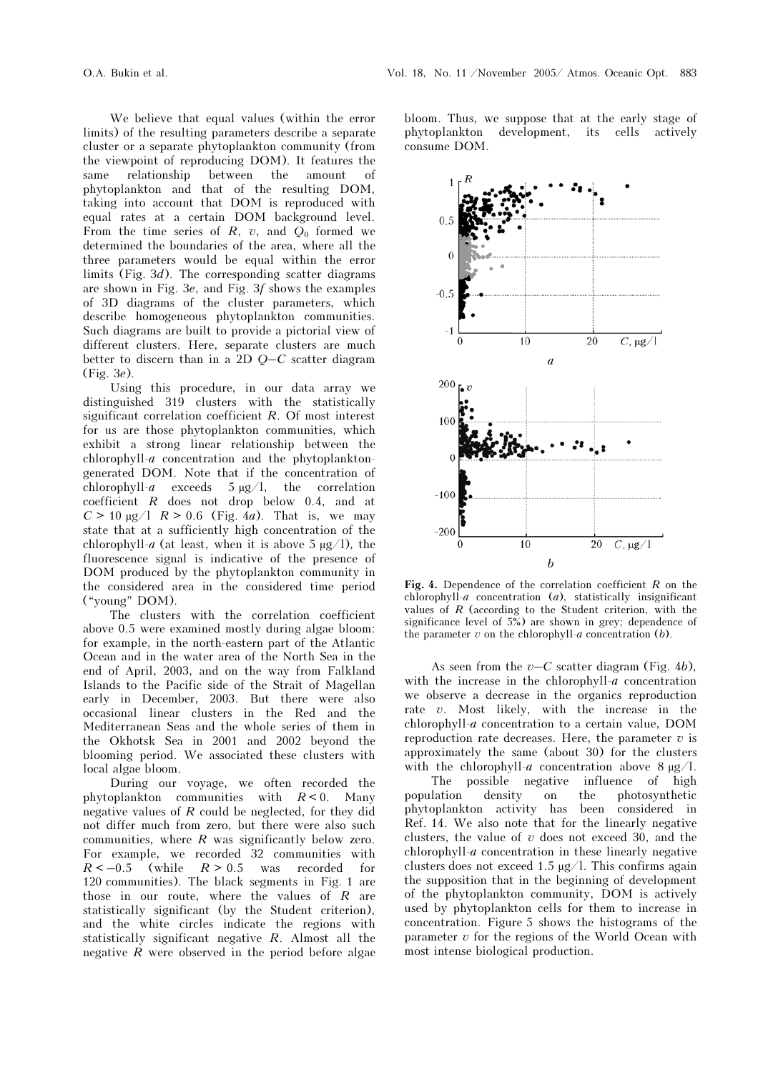We believe that equal values (within the error limits) of the resulting parameters describe a separate cluster or a separate phytoplankton community (from the viewpoint of reproducing DOM). It features the same relationship between the amount of phytoplankton and that of the resulting DOM, taking into account that DOM is reproduced with equal rates at a certain DOM background level. From the time series of R, v, and  $O_0$  formed we determined the boundaries of the area, where all the three parameters would be equal within the error limits (Fig.  $3d$ ). The corresponding scatter diagrams are shown in Fig. 3e, and Fig. 3f shows the examples of 3D diagrams of the cluster parameters, which describe homogeneous phytoplankton communities. Such diagrams are built to provide a pictorial view of different clusters. Here, separate clusters are much better to discern than in a 2D Q–C scatter diagram (Fig. 3e).

Using this procedure, in our data array we distinguished 319 clusters with the statistically significant correlation coefficient R. Of most interest for us are those phytoplankton communities, which exhibit a strong linear relationship between the chlorophyll-a concentration and the phytoplanktongenerated DOM. Note that if the concentration of chlorophyll-a exceeds  $5 \mu g/l$ , the correlation coefficient R does not drop below 0.4, and at  $C > 10 \text{ µg} / 1$   $R > 0.6$  (Fig. 4*a*). That is, we may state that at a sufficiently high concentration of the chlorophyll-a (at least, when it is above 5  $\mu$ g/l), the fluorescence signal is indicative of the presence of DOM produced by the phytoplankton community in the considered area in the considered time period ("young" DOM).

The clusters with the correlation coefficient above 0.5 were examined mostly during algae bloom: for example, in the north-eastern part of the Atlantic Ocean and in the water area of the North Sea in the end of April, 2003, and on the way from Falkland Islands to the Pacific side of the Strait of Magellan early in December, 2003. But there were also occasional linear clusters in the Red and the Mediterranean Seas and the whole series of them in the Okhotsk Sea in 2001 and 2002 beyond the blooming period. We associated these clusters with local algae bloom.

During our voyage, we often recorded the phytoplankton communities with  $R < 0$ . Many negative values of  $R$  could be neglected, for they did not differ much from zero, but there were also such communities, where  $R$  was significantly below zero. For example, we recorded 32 communities with  $R < -0.5$  (while  $R > 0.5$  was recorded for 120 communities). The black segments in Fig. 1 are those in our route, where the values of  $R$  are statistically significant (by the Student criterion), and the white circles indicate the regions with statistically significant negative  $R$ . Almost all the negative  $R$  were observed in the period before algae

bloom. Thus, we suppose that at the early stage of phytoplankton development, its cells actively consume DOM.



Fig. 4. Dependence of the correlation coefficient  $R$  on the chlorophyll-a concentration  $(a)$ , statistically insignificant values of  $R$  (according to the Student criterion, with the significance level of  $5\%$ ) are shown in grey; dependence of the parameter  $v$  on the chlorophyll- $a$  concentration (b).

As seen from the  $v-C$  scatter diagram (Fig. 4b), with the increase in the chlorophyll- $a$  concentration we observe a decrease in the organics reproduction rate v. Most likely, with the increase in the chlorophyll-a concentration to a certain value, DOM reproduction rate decreases. Here, the parameter  $v$  is approximately the same (about 30) for the clusters with the chlorophyll-a concentration above  $8 \mu g/l$ .

 The possible negative influence of high population density on the photosynthetic phytoplankton activity has been considered in Ref. 14. We also note that for the linearly negative clusters, the value of  $v$  does not exceed 30, and the chlorophyll-a concentration in these linearly negative clusters does not exceed 1.5  $\mu$ g/l. This confirms again the supposition that in the beginning of development of the phytoplankton community, DOM is actively used by phytoplankton cells for them to increase in concentration. Figure 5 shows the histograms of the parameter  $v$  for the regions of the World Ocean with most intense biological production.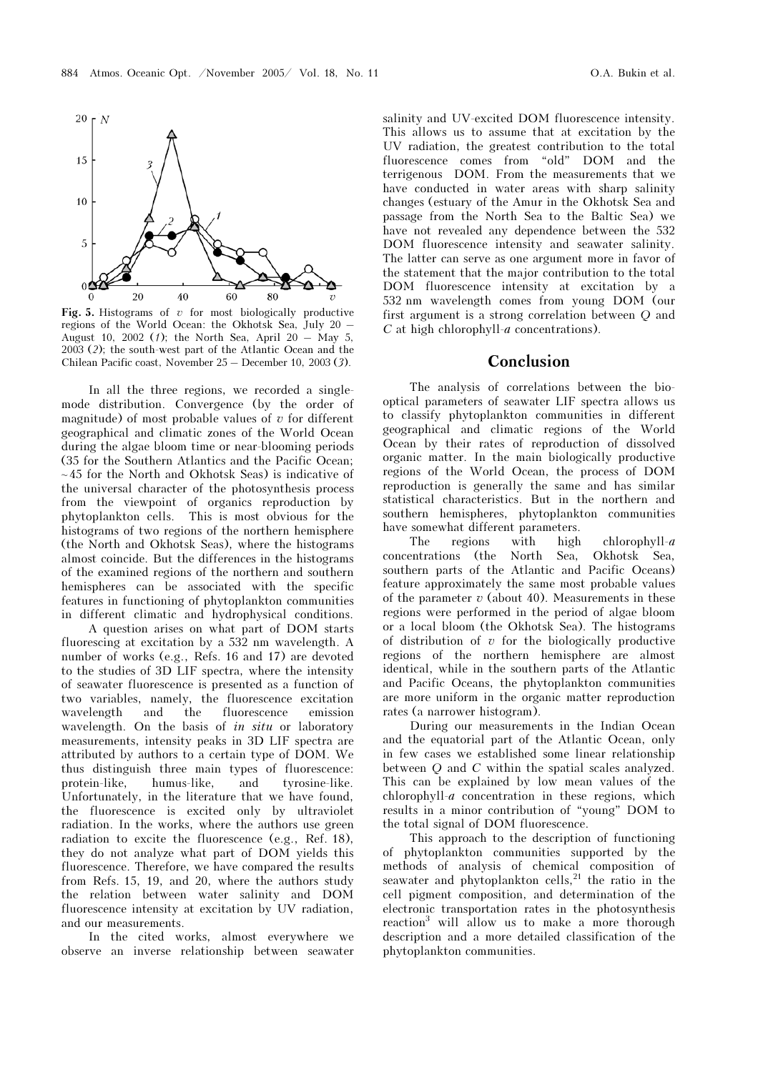

Fig. 5. Histograms of  $v$  for most biologically productive regions of the World Ocean: the Okhotsk Sea, July 20 – August 10, 2002 (1); the North Sea, April 20 – May 5, 2003 (2); the south-west part of the Atlantic Ocean and the Chilean Pacific coast, November 25 – December 10, 2003 (3).

In all the three regions, we recorded a singlemode distribution. Convergence (by the order of magnitude) of most probable values of  $v$  for different geographical and climatic zones of the World Ocean during the algae bloom time or near-blooming periods (35 for the Southern Atlantics and the Pacific Ocean;  $\sim$  45 for the North and Okhotsk Seas) is indicative of the universal character of the photosynthesis process from the viewpoint of organics reproduction by phytoplankton cells. This is most obvious for the histograms of two regions of the northern hemisphere (the North and Okhotsk Seas), where the histograms almost coincide. But the differences in the histograms of the examined regions of the northern and southern hemispheres can be associated with the specific features in functioning of phytoplankton communities in different climatic and hydrophysical conditions.

 A question arises on what part of DOM starts fluorescing at excitation by a 532 nm wavelength. A number of works (e.g., Refs. 16 and 17) are devoted to the studies of 3D LIF spectra, where the intensity of seawater fluorescence is presented as a function of two variables, namely, the fluorescence excitation wavelength and the fluorescence emission wavelength. On the basis of *in situ* or laboratory measurements, intensity peaks in 3D LIF spectra are attributed by authors to a certain type of DOM. We thus distinguish three main types of fluorescence: protein-like, humus-like, and tyrosine-like. Unfortunately, in the literature that we have found, the fluorescence is excited only by ultraviolet radiation. In the works, where the authors use green radiation to excite the fluorescence (e.g., Ref. 18), they do not analyze what part of DOM yields this fluorescence. Therefore, we have compared the results from Refs. 15, 19, and 20, where the authors study the relation between water salinity and DOM fluorescence intensity at excitation by UV radiation, and our measurements.

In the cited works, almost everywhere we observe an inverse relationship between seawater salinity and UV-excited DOM fluorescence intensity. This allows us to assume that at excitation by the UV radiation, the greatest contribution to the total fluorescence comes from "old" DOM and the terrigenous DOM. From the measurements that we have conducted in water areas with sharp salinity changes (estuary of the Amur in the Okhotsk Sea and passage from the North Sea to the Baltic Sea) we have not revealed any dependence between the 532 DOM fluorescence intensity and seawater salinity. The latter can serve as one argument more in favor of the statement that the major contribution to the total DOM fluorescence intensity at excitation by a 532 nm wavelength comes from young DOM (our first argument is a strong correlation between Q and  $C$  at high chlorophyll- $a$  concentrations).

## Conclusion

The analysis of correlations between the biooptical parameters of seawater LIF spectra allows us to classify phytoplankton communities in different geographical and climatic regions of the World Ocean by their rates of reproduction of dissolved organic matter. In the main biologically productive regions of the World Ocean, the process of DOM reproduction is generally the same and has similar statistical characteristics. But in the northern and southern hemispheres, phytoplankton communities have somewhat different parameters.

The regions with high chlorophyll- $a$ concentrations (the North Sea, Okhotsk Sea, southern parts of the Atlantic and Pacific Oceans) feature approximately the same most probable values of the parameter  $v$  (about 40). Measurements in these regions were performed in the period of algae bloom or a local bloom (the Okhotsk Sea). The histograms of distribution of  $v$  for the biologically productive regions of the northern hemisphere are almost identical, while in the southern parts of the Atlantic and Pacific Oceans, the phytoplankton communities are more uniform in the organic matter reproduction rates (a narrower histogram).

During our measurements in the Indian Ocean and the equatorial part of the Atlantic Ocean, only in few cases we established some linear relationship between  $O$  and  $C$  within the spatial scales analyzed. This can be explained by low mean values of the chlorophyll- $a$  concentration in these regions, which results in a minor contribution of "young" DOM to the total signal of DOM fluorescence.

This approach to the description of functioning of phytoplankton communities supported by the methods of analysis of chemical composition of seawater and phytoplankton cells, $^{21}$  the ratio in the cell pigment composition, and determination of the electronic transportation rates in the photosynthesis reaction<sup>3</sup> will allow us to make a more thorough description and a more detailed classification of the phytoplankton communities.